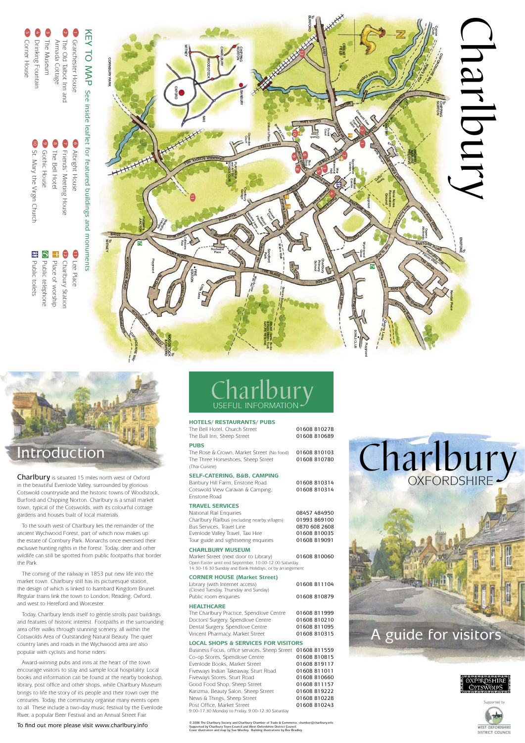### Introduction

Charlbury is situated 15 miles north west of Oxford in the beautiful Evenlode Valley, surrounded by glorious Cotswold countryside and the historic towns of Woodstock, Burford and Chipping Norton. Charlbury is a small market town, typical of the Cotswolds, with its colourful cottage gardens and houses built of local materials.

 To the south west of Charlbury lies the remainder of the ancient Wychwood Forest, part of which now makes up the estate of Cornbury Park. Monarchs once exercised their exclusive hunting rights in the forest. Today, deer and other wildlife can still be spotted from public footpaths that border the Park.

 The coming of the railway in 1853 put new life into the market town. Charlbury still has its picturesque station, the design of which is linked to Isambard Kingdom Brunel. Regular trains link the town to London, Reading, Oxford, and west to Hereford and Worcester.

 Today, Charlbury lends itself to gentle strolls past buildings and features of historic interest. Footpaths in the surrounding area offer walks through stunning scenery, all within the Cotswolds Area of Outstanding Natural Beauty. The quiet country lanes and roads in the Wychwood area are also popular with cyclists and horse riders.

 Award-winning pubs and inns at the heart of the town encourage visitors to stay and sample local hospitality. Local books and information can be found at the nearby bookshop, library, post office and other shops, while Charlbury Museum brings to life the story of its people and their town over the centuries. Today, the community organise many events open to all. These include a two-day music festival by the Evenlode River, a popular Beer Festival and an Annual Street Fair.

#### To find out more please visit www.charlbury.info

## USEFUL INFORMATION **Charlbury**

#### **HOTELS/ RESTAURANTS/ PUBS**

|  |  |                            | The Bell Hotel, Church Street |
|--|--|----------------------------|-------------------------------|
|  |  | The Bull Inn, Sheep Street |                               |

01608 810278 01608 810689

#### **PUBS**

The Rose & Crown, Market Street (No food) 01608 810103 The Three Horseshoes, Sheep Street 01608 810780 (Thai Cuisine)

#### **SELF-CATERING, B&B, CAMPING**

Banbury Hill Farm, Enstone Road **01608 810314** Cotswold View Caravan & Camping, 01608 810314 Enstone Road

#### **TRAVEL SERVICES**

| 08457 484950  |
|---------------|
| 01993 869100  |
| 0870 608 2608 |
| 01608 810035  |
| 01608 819091  |
|               |

#### **CHARLBURY MUSEUM**

Market Street (next door to Library) 01608 810060 Open Easter until end September, 10.00-12.00 Saturday, 14.30-16.30 Sunday and Bank Holidays, or by arrangement

#### **CORNER HOUSE (Market Street)**

| Public room enquiries                 | 01608 810879 |
|---------------------------------------|--------------|
| (Closed Tuesday, Thursday and Sunday) |              |
| Library (with Internet access)        | 01608 811104 |
|                                       |              |

#### **HEALTHCARE**

| The Charlbury Practice, Spendlove Centre | 01608 811999 |
|------------------------------------------|--------------|
| Doctors' Surgery, Spendlove Centre       | 01608 810210 |
| Dental Surgery, Spendlove Centre         | 01608 811095 |
| Vincent Pharmacy, Market Street          | 01608 810315 |

#### **LOCAL SHOPS & SERVICES FOR VISITORS**

| Business Focus, office services, Sheep Street 01608 811559 |              |
|------------------------------------------------------------|--------------|
| Co-op Stores, Spendlove Centre                             | 01608 810815 |
| Evenlode Books, Market Street                              | 01608 819117 |
| Fiveways Indian Takeaway, Sturt Road                       | 01608 811011 |
| Fiveways Stores, Sturt Road                                | 01608 810660 |
| Good Food Shop, Sheep Street                               | 01608 811157 |
| Karizma, Beauty Salon, Sheep Street                        | 01608 819222 |
| News & Things, Sheep Street                                | 01608 810228 |
| Post Office, Market Street                                 | 01608 810243 |
| 9.00-17.30 Monday to Friday, 9.00-12.30 Saturday           |              |

© 2006 The Charlbury Society and Charlbury Chamber of Trade & Commerce, chamber@charlbury.info<br>Supported by Charlbury Town Council and West Oxfordshire District Council. Cover illustration and map by Sue Woolley. Building illustrations by Bev Bradley.



# A guide for visitors



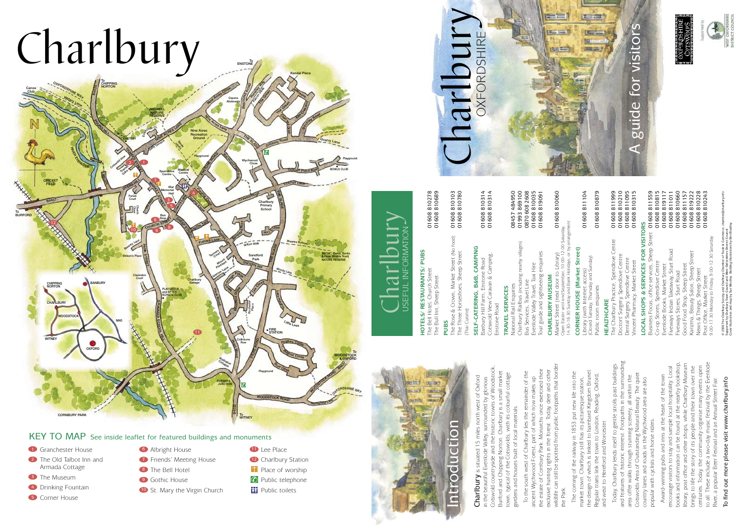# Charlbury



To<br>ENSTONE

#### KEY TO MAP See inside leaflet for featured buildings and monuments

- **D** Granchester House 4 Drinking Fountain **3** The Museum **2** The Old Talbot Inn and Armada Cottage
- **5** Corner House
- **6** Albright House
- 2 The Old Talbot Inn and **2 12 Friends' Meeting House** 12
	- 8 The Bell Hotel
	- 9 Gothic House
	- **10** St. Mary the Virgin Church
- **11** Lee Place
- <sup>2</sup> Charlbury Station
- $\blacksquare$  Place of worship
- <sup>*©*</sup> Public telephone
- **精** Public toilets